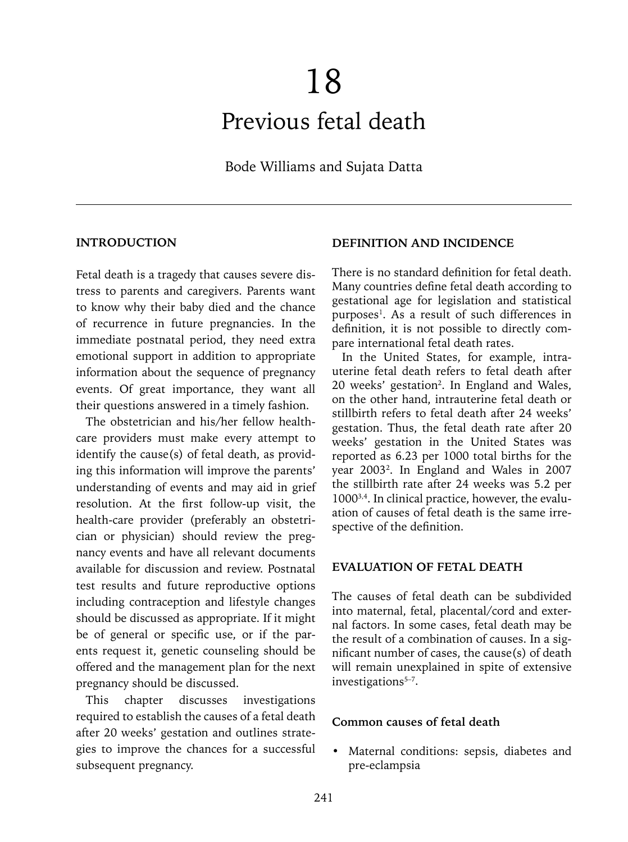# 18 Previous fetal death

Bode Williams and Sujata Datta

#### **INTRODUCTION**

Fetal death is a tragedy that causes severe distress to parents and caregivers. Parents want to know why their baby died and the chance of recurrence in future pregnancies. In the immediate postnatal period, they need extra emotional support in addition to appropriate information about the sequence of pregnancy events. Of great importance, they want all their questions answered in a timely fashion.

The obstetrician and his/her fellow healthcare providers must make every attempt to identify the cause(s) of fetal death, as providing this information will improve the parents' understanding of events and may aid in grief resolution. At the first follow-up visit, the health-care provider (preferably an obstetrician or physician) should review the pregnancy events and have all relevant documents available for discussion and review. Postnatal test results and future reproductive options including contraception and lifestyle changes should be discussed as appropriate. If it might be of general or specific use, or if the parents request it, genetic counseling should be offered and the management plan for the next pregnancy should be discussed.

This chapter discusses investigations required to establish the causes of a fetal death after 20 weeks' gestation and outlines strategies to improve the chances for a successful subsequent pregnancy.

#### **DEFINITION AND INCIDENCE**

There is no standard definition for fetal death. Many countries define fetal death according to gestational age for legislation and statistical purposes<sup>1</sup>. As a result of such differences in definition, it is not possible to directly compare international fetal death rates.

In the United States, for example, intrauterine fetal death refers to fetal death after 20 weeks' gestation<sup>2</sup>. In England and Wales, on the other hand, intrauterine fetal death or stillbirth refers to fetal death after 24 weeks' gestation. Thus, the fetal death rate after 20 weeks' gestation in the United States was reported as 6.23 per 1000 total births for the year 20032 . In England and Wales in 2007 the stillbirth rate after 24 weeks was 5.2 per 10003,4. In clinical practice, however, the evaluation of causes of fetal death is the same irrespective of the definition.

#### **EVALUATION OF FETAL DEATH**

The causes of fetal death can be subdivided into maternal, fetal, placental/cord and external factors. In some cases, fetal death may be the result of a combination of causes. In a significant number of cases, the cause(s) of death will remain unexplained in spite of extensive  $investigations<sup>5-7</sup>$ .

#### **Common causes of fetal death**

Maternal conditions: sepsis, diabetes and pre-eclampsia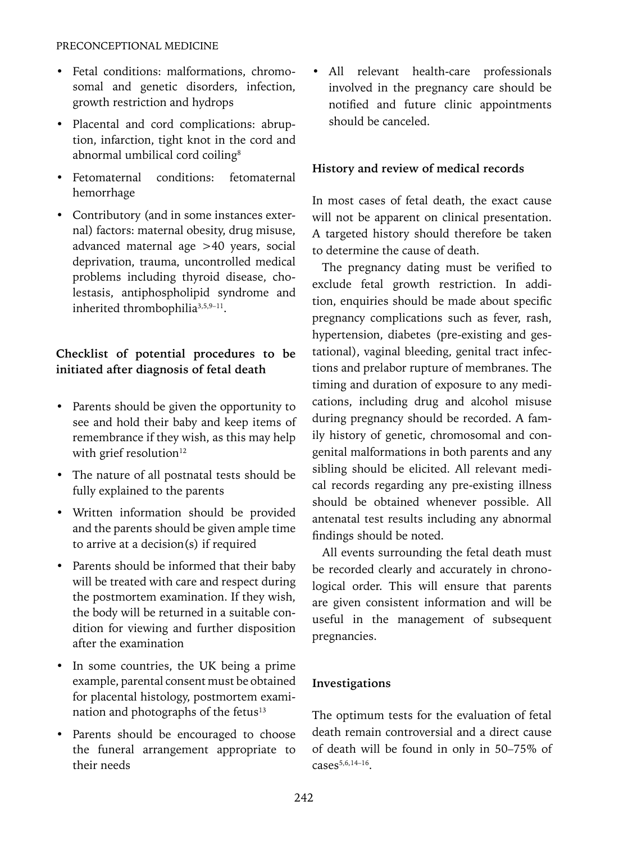- Fetal conditions: malformations, chromosomal and genetic disorders, infection, growth restriction and hydrops
- Placental and cord complications: abruption, infarction, tight knot in the cord and abnormal umbilical cord coiling<sup>8</sup>
- Fetomaternal conditions: fetomaternal hemorrhage
- Contributory (and in some instances external) factors: maternal obesity, drug misuse, advanced maternal age >40 years, social deprivation, trauma, uncontrolled medical problems including thyroid disease, cholestasis, antiphospholipid syndrome and inherited thrombophilia<sup>3,5,9-11</sup>.

# **Checklist of potential procedures to be initiated after diagnosis of fetal death**

- Parents should be given the opportunity to see and hold their baby and keep items of remembrance if they wish, as this may help with grief resolution $12$
- The nature of all postnatal tests should be fully explained to the parents
- Written information should be provided and the parents should be given ample time to arrive at a decision(s) if required
- Parents should be informed that their baby will be treated with care and respect during the postmortem examination. If they wish, the body will be returned in a suitable condition for viewing and further disposition after the examination
- In some countries, the UK being a prime example, parental consent must be obtained for placental histology, postmortem examination and photographs of the fetus<sup>13</sup>
- Parents should be encouraged to choose the funeral arrangement appropriate to their needs

• All relevant health-care professionals involved in the pregnancy care should be notified and future clinic appointments should be canceled.

# **History and review of medical records**

In most cases of fetal death, the exact cause will not be apparent on clinical presentation. A targeted history should therefore be taken to determine the cause of death.

The pregnancy dating must be verified to exclude fetal growth restriction. In addition, enquiries should be made about specific pregnancy complications such as fever, rash, hypertension, diabetes (pre-existing and gestational), vaginal bleeding, genital tract infections and prelabor rupture of membranes. The timing and duration of exposure to any medications, including drug and alcohol misuse during pregnancy should be recorded. A family history of genetic, chromosomal and congenital malformations in both parents and any sibling should be elicited. All relevant medical records regarding any pre-existing illness should be obtained whenever possible. All antenatal test results including any abnormal findings should be noted.

All events surrounding the fetal death must be recorded clearly and accurately in chronological order. This will ensure that parents are given consistent information and will be useful in the management of subsequent pregnancies.

# **Investigations**

The optimum tests for the evaluation of fetal death remain controversial and a direct cause of death will be found in only in 50–75% of  $cases^{5,6,14-16}$ .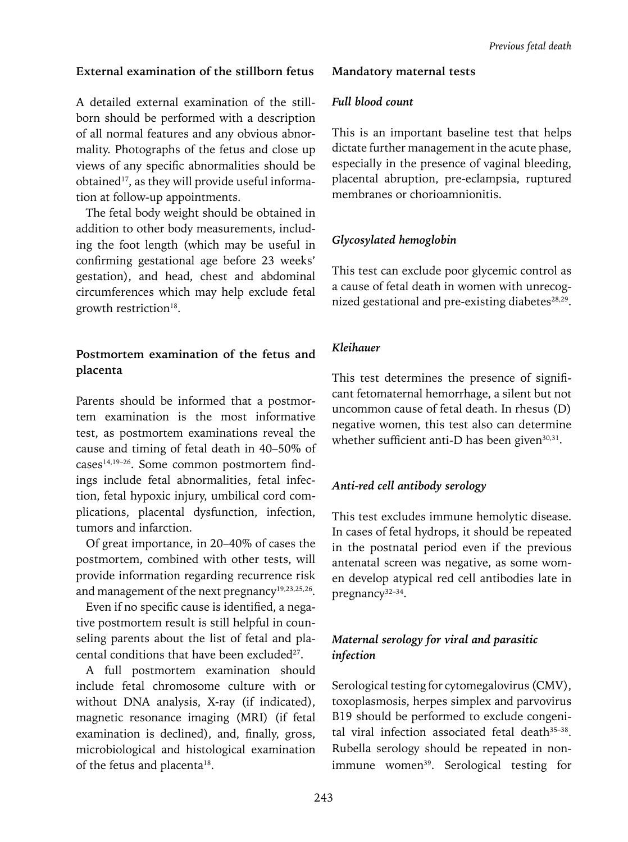## **External examination of the stillborn fetus**

A detailed external examination of the stillborn should be performed with a description of all normal features and any obvious abnormality. Photographs of the fetus and close up views of any specific abnormalities should be obtained<sup>17</sup>, as they will provide useful information at follow-up appointments.

The fetal body weight should be obtained in addition to other body measurements, including the foot length (which may be useful in confirming gestational age before 23 weeks' gestation), and head, chest and abdominal circumferences which may help exclude fetal growth restriction<sup>18</sup>.

# **Postmortem examination of the fetus and placenta**

Parents should be informed that a postmortem examination is the most informative test, as postmortem examinations reveal the cause and timing of fetal death in 40–50% of cases14,19–26. Some common postmortem findings include fetal abnormalities, fetal infection, fetal hypoxic injury, umbilical cord complications, placental dysfunction, infection, tumors and infarction.

Of great importance, in 20–40% of cases the postmortem, combined with other tests, will provide information regarding recurrence risk and management of the next pregnancy<sup>19,23,25,26</sup>.

Even if no specific cause is identified, a negative postmortem result is still helpful in counseling parents about the list of fetal and placental conditions that have been excluded<sup>27</sup>.

A full postmortem examination should include fetal chromosome culture with or without DNA analysis, X-ray (if indicated), magnetic resonance imaging (MRI) (if fetal examination is declined), and, finally, gross, microbiological and histological examination of the fetus and placenta<sup>18</sup>.

## **Mandatory maternal tests**

#### *Full blood count*

This is an important baseline test that helps dictate further management in the acute phase, especially in the presence of vaginal bleeding, placental abruption, pre-eclampsia, ruptured membranes or chorioamnionitis.

# *Glycosylated hemoglobin*

This test can exclude poor glycemic control as a cause of fetal death in women with unrecognized gestational and pre-existing diabetes $28,29$ .

## *Kleihauer*

This test determines the presence of significant fetomaternal hemorrhage, a silent but not uncommon cause of fetal death. In rhesus (D) negative women, this test also can determine whether sufficient anti-D has been given<sup>30,31</sup>.

## *Anti-red cell antibody serology*

This test excludes immune hemolytic disease. In cases of fetal hydrops, it should be repeated in the postnatal period even if the previous antenatal screen was negative, as some women develop atypical red cell antibodies late in pregnancy<sup>32-34</sup>.

# *Maternal serology for viral and parasitic infection*

Serological testing for cytomegalovirus (CMV), toxoplasmosis, herpes simplex and parvovirus B19 should be performed to exclude congenital viral infection associated fetal death<sup>35-38</sup>. Rubella serology should be repeated in nonimmune women<sup>39</sup>. Serological testing for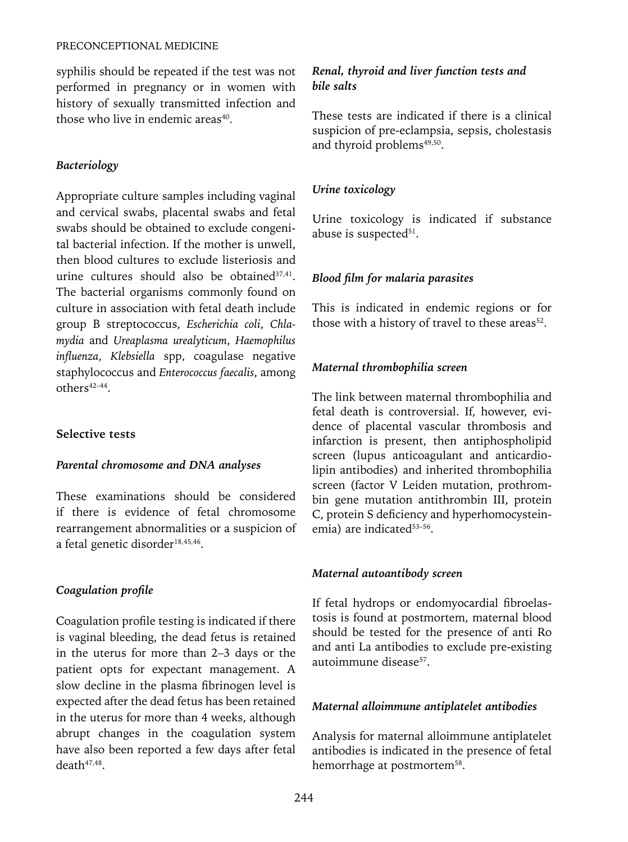syphilis should be repeated if the test was not performed in pregnancy or in women with history of sexually transmitted infection and those who live in endemic areas<sup>40</sup>.

## *Bacteriology*

Appropriate culture samples including vaginal and cervical swabs, placental swabs and fetal swabs should be obtained to exclude congenital bacterial infection. If the mother is unwell, then blood cultures to exclude listeriosis and urine cultures should also be obtained<sup>37,41</sup>. The bacterial organisms commonly found on culture in association with fetal death include group B streptococcus, *Escherichia coli*, *Chlamydia* and *Ureaplasma urealyticum*, *Haemophilus influenza*, *Klebsiella* spp, coagulase negative staphylococcus and *Enterococcus faecalis*, among others<sup>42-44</sup>.

## **Selective tests**

#### *Parental chromosome and DNA analyses*

These examinations should be considered if there is evidence of fetal chromosome rearrangement abnormalities or a suspicion of a fetal genetic disorder<sup>18,45,46</sup>.

#### *Coagulation profile*

Coagulation profile testing is indicated if there is vaginal bleeding, the dead fetus is retained in the uterus for more than 2–3 days or the patient opts for expectant management. A slow decline in the plasma fibrinogen level is expected after the dead fetus has been retained in the uterus for more than 4 weeks, although abrupt changes in the coagulation system have also been reported a few days after fetal death<sup>47,48</sup>.

## *Renal, thyroid and liver function tests and bile salts*

These tests are indicated if there is a clinical suspicion of pre-eclampsia, sepsis, cholestasis and thyroid problems<sup>49,50</sup>.

#### *Urine toxicology*

Urine toxicology is indicated if substance abuse is suspected<sup>51</sup>.

#### *Blood film for malaria parasites*

This is indicated in endemic regions or for those with a history of travel to these areas<sup>52</sup>.

## *Maternal thrombophilia screen*

The link between maternal thrombophilia and fetal death is controversial. If, however, evidence of placental vascular thrombosis and infarction is present, then antiphospholipid screen (lupus anticoagulant and anticardiolipin antibodies) and inherited thrombophilia screen (factor V Leiden mutation, prothrombin gene mutation antithrombin III, protein C, protein S deficiency and hyperhomocysteinemia) are indicated<sup>53-56</sup>.

#### *Maternal autoantibody screen*

If fetal hydrops or endomyocardial fibroelastosis is found at postmortem, maternal blood should be tested for the presence of anti Ro and anti La antibodies to exclude pre-existing autoimmune disease<sup>57</sup>.

#### *Maternal alloimmune antiplatelet antibodies*

Analysis for maternal alloimmune antiplatelet antibodies is indicated in the presence of fetal hemorrhage at postmortem<sup>58</sup>.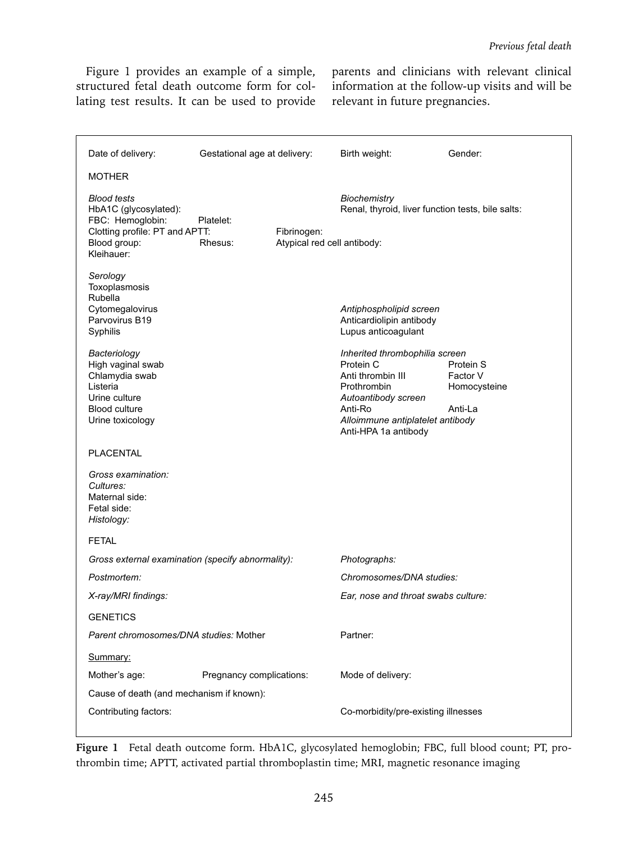Figure 1 provides an example of a simple, structured fetal death outcome form for collating test results. It can be used to provide parents and clinicians with relevant clinical information at the follow-up visits and will be relevant in future pregnancies.

| Date of delivery:                                                                                                                                                                                                                         | Gestational age at delivery: |                                            | Birth weight:                                                                                                                                                                                                                                               | Gender:                                          |
|-------------------------------------------------------------------------------------------------------------------------------------------------------------------------------------------------------------------------------------------|------------------------------|--------------------------------------------|-------------------------------------------------------------------------------------------------------------------------------------------------------------------------------------------------------------------------------------------------------------|--------------------------------------------------|
| <b>MOTHER</b>                                                                                                                                                                                                                             |                              |                                            |                                                                                                                                                                                                                                                             |                                                  |
| <b>Blood tests</b><br>HbA1C (glycosylated):<br>FBC: Hemoglobin:<br>Clotting profile: PT and APTT:<br>Blood group:<br>Kleihauer:                                                                                                           | Platelet:<br>Rhesus:         | Fibrinogen:<br>Atypical red cell antibody: | <b>Biochemistry</b><br>Renal, thyroid, liver function tests, bile salts:                                                                                                                                                                                    |                                                  |
| Serology<br>Toxoplasmosis<br>Rubella<br>Cytomegalovirus<br>Parvovirus B19<br>Syphilis<br>Bacteriology<br>High vaginal swab<br>Chlamydia swab<br>Listeria<br>Urine culture<br><b>Blood culture</b><br>Urine toxicology<br><b>PLACENTAL</b> |                              |                                            | Antiphospholipid screen<br>Anticardiolipin antibody<br>Lupus anticoagulant<br>Inherited thrombophilia screen<br>Protein C<br>Anti thrombin III<br>Prothrombin<br>Autoantibody screen<br>Anti-Ro<br>Alloimmune antiplatelet antibody<br>Anti-HPA 1a antibody | Protein S<br>Factor V<br>Homocysteine<br>Anti-La |
| Gross examination:<br>Cultures:<br>Maternal side:<br>Fetal side:<br>Histology:                                                                                                                                                            |                              |                                            |                                                                                                                                                                                                                                                             |                                                  |
| <b>FETAL</b>                                                                                                                                                                                                                              |                              |                                            |                                                                                                                                                                                                                                                             |                                                  |
| Gross external examination (specify abnormality):                                                                                                                                                                                         |                              |                                            | Photographs:                                                                                                                                                                                                                                                |                                                  |
| Postmortem:                                                                                                                                                                                                                               |                              |                                            | Chromosomes/DNA studies:                                                                                                                                                                                                                                    |                                                  |
| X-ray/MRI findings:                                                                                                                                                                                                                       |                              |                                            | Ear, nose and throat swabs culture:                                                                                                                                                                                                                         |                                                  |
| <b>GENETICS</b>                                                                                                                                                                                                                           |                              |                                            |                                                                                                                                                                                                                                                             |                                                  |
| Parent chromosomes/DNA studies: Mother                                                                                                                                                                                                    |                              |                                            | Partner:                                                                                                                                                                                                                                                    |                                                  |
| Summary:                                                                                                                                                                                                                                  |                              |                                            |                                                                                                                                                                                                                                                             |                                                  |
| Mother's age:                                                                                                                                                                                                                             | Pregnancy complications:     |                                            | Mode of delivery:                                                                                                                                                                                                                                           |                                                  |
| Cause of death (and mechanism if known):                                                                                                                                                                                                  |                              |                                            |                                                                                                                                                                                                                                                             |                                                  |
| Contributing factors:                                                                                                                                                                                                                     |                              |                                            | Co-morbidity/pre-existing illnesses                                                                                                                                                                                                                         |                                                  |
|                                                                                                                                                                                                                                           |                              |                                            |                                                                                                                                                                                                                                                             |                                                  |

**Figure 1** Fetal death outcome form. HbA1C, glycosylated hemoglobin; FBC, full blood count; PT, prothrombin time; APTT, activated partial thromboplastin time; MRI, magnetic resonance imaging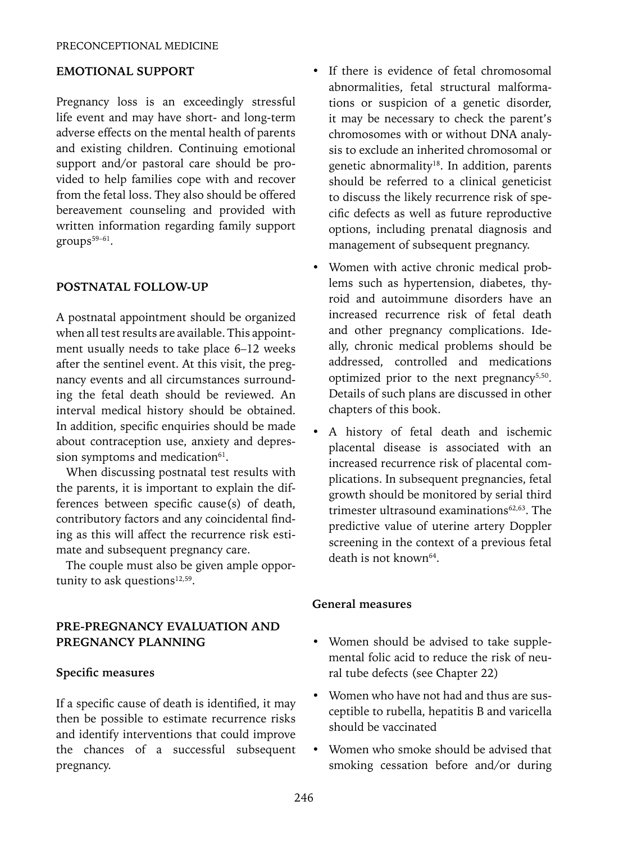#### **EMOTIONAL SUPPORT**

Pregnancy loss is an exceedingly stressful life event and may have short- and long-term adverse effects on the mental health of parents and existing children. Continuing emotional support and/or pastoral care should be provided to help families cope with and recover from the fetal loss. They also should be offered bereavement counseling and provided with written information regarding family support groups<sup>59-61</sup>.

#### **POSTNATAL FOLLOW-UP**

A postnatal appointment should be organized when all test results are available. This appointment usually needs to take place 6-12 weeks after the sentinel event. At this visit, the pregnancy events and all circumstances surrounding the fetal death should be reviewed. An interval medical history should be obtained. In addition, specific enquiries should be made about contraception use, anxiety and depression symptoms and medication<sup>61</sup>.

When discussing postnatal test results with the parents, it is important to explain the differences between specific cause(s) of death, contributory factors and any coincidental finding as this will affect the recurrence risk estimate and subsequent pregnancy care.

The couple must also be given ample opportunity to ask questions $12,59$ .

#### **PRE-PREGNANCY EVALUATION AND PREGNANCY PLANNING**

#### **Specific measures**

If a specific cause of death is identified, it may then be possible to estimate recurrence risks and identify interventions that could improve the chances of a successful subsequent pregnancy.

- If there is evidence of fetal chromosomal abnormalities, fetal structural malformations or suspicion of a genetic disorder, it may be necessary to check the parent's chromosomes with or without DNA analysis to exclude an inherited chromosomal or genetic abnormality<sup>18</sup>. In addition, parents should be referred to a clinical geneticist to discuss the likely recurrence risk of specific defects as well as future reproductive options, including prenatal diagnosis and management of subsequent pregnancy.
- Women with active chronic medical problems such as hypertension, diabetes, thyroid and autoimmune disorders have an increased recurrence risk of fetal death and other pregnancy complications. Ideally, chronic medical problems should be addressed, controlled and medications optimized prior to the next pregnancy $5,50$ . Details of such plans are discussed in other chapters of this book.
- A history of fetal death and ischemic placental disease is associated with an increased recurrence risk of placental complications. In subsequent pregnancies, fetal growth should be monitored by serial third trimester ultrasound examinations $62,63$ . The predictive value of uterine artery Doppler screening in the context of a previous fetal death is not known<sup>64</sup>

#### **General measures**

- Women should be advised to take supplemental folic acid to reduce the risk of neural tube defects (see Chapter 22)
- Women who have not had and thus are susceptible to rubella, hepatitis B and varicella should be vaccinated
- Women who smoke should be advised that smoking cessation before and/or during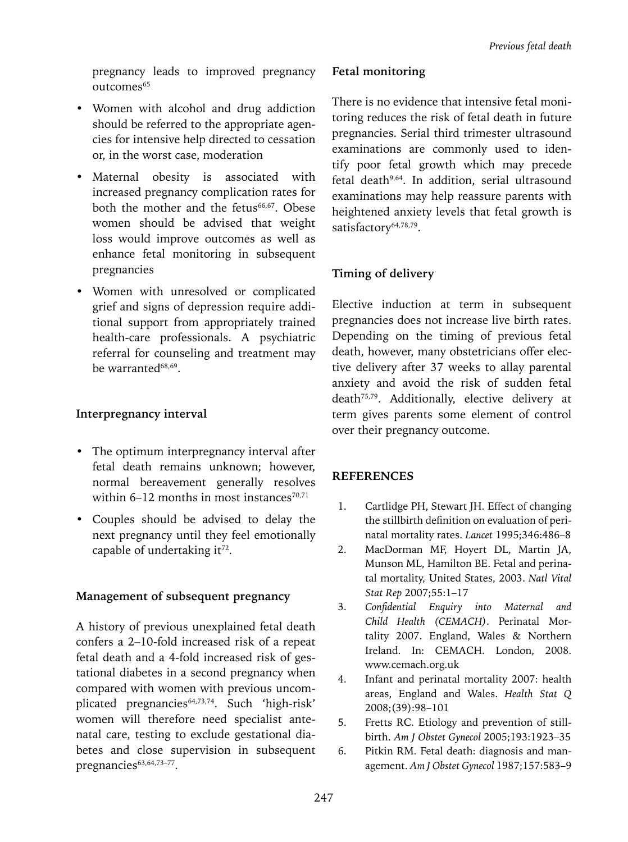pregnancy leads to improved pregnancy outcomes<sup>65</sup>

- Women with alcohol and drug addiction should be referred to the appropriate agencies for intensive help directed to cessation or, in the worst case, moderation
- Maternal obesity is associated with increased pregnancy complication rates for both the mother and the fetus $66,67$ . Obese women should be advised that weight loss would improve outcomes as well as enhance fetal monitoring in subsequent pregnancies
- Women with unresolved or complicated grief and signs of depression require additional support from appropriately trained health-care professionals. A psychiatric referral for counseling and treatment may be warranted68,69.

## **Interpregnancy interval**

- The optimum interpregnancy interval after fetal death remains unknown; however, normal bereavement generally resolves within  $6-12$  months in most instances<sup>70,71</sup>
- Couples should be advised to delay the next pregnancy until they feel emotionally capable of undertaking it<sup>72</sup>.

## **Management of subsequent pregnancy**

A history of previous unexplained fetal death confers a 2–10-fold increased risk of a repeat fetal death and a 4-fold increased risk of gestational diabetes in a second pregnancy when compared with women with previous uncomplicated pregnancies<sup>64,73,74</sup>. Such 'high-risk' women will therefore need specialist antenatal care, testing to exclude gestational diabetes and close supervision in subsequent pregnancies<sup>63,64,73-77</sup>.

## **Fetal monitoring**

There is no evidence that intensive fetal monitoring reduces the risk of fetal death in future pregnancies. Serial third trimester ultrasound examinations are commonly used to identify poor fetal growth which may precede fetal death9,64. In addition, serial ultrasound examinations may help reassure parents with heightened anxiety levels that fetal growth is satisfactory<sup>64,78,79</sup>.

# **Timing of delivery**

Elective induction at term in subsequent pregnancies does not increase live birth rates. Depending on the timing of previous fetal death, however, many obstetricians offer elective delivery after 37 weeks to allay parental anxiety and avoid the risk of sudden fetal death75,79. Additionally, elective delivery at term gives parents some element of control over their pregnancy outcome.

# **References**

- 1. Cartlidge PH, Stewart JH. Effect of changing the stillbirth definition on evaluation of perinatal mortality rates. *Lancet* 1995;346:486–8
- 2. MacDorman MF, Hoyert DL, Martin JA, Munson ML, Hamilton BE. Fetal and perinatal mortality, United States, 2003. *Natl Vital Stat Rep* 2007;55:1–17
- 3. *Confidential Enquiry into Maternal and Child Health (CEMACH)*. Perinatal Mortality 2007. England, Wales & Northern Ireland. In: CEMACH. London, 2008. www.cemach.org.uk
- 4. Infant and perinatal mortality 2007: health areas, England and Wales. *Health Stat Q* 2008;(39):98–101
- 5. Fretts RC. Etiology and prevention of stillbirth. *Am J Obstet Gynecol* 2005;193:1923–35
- 6. Pitkin RM. Fetal death: diagnosis and management. *Am J Obstet Gynecol* 1987;157:583–9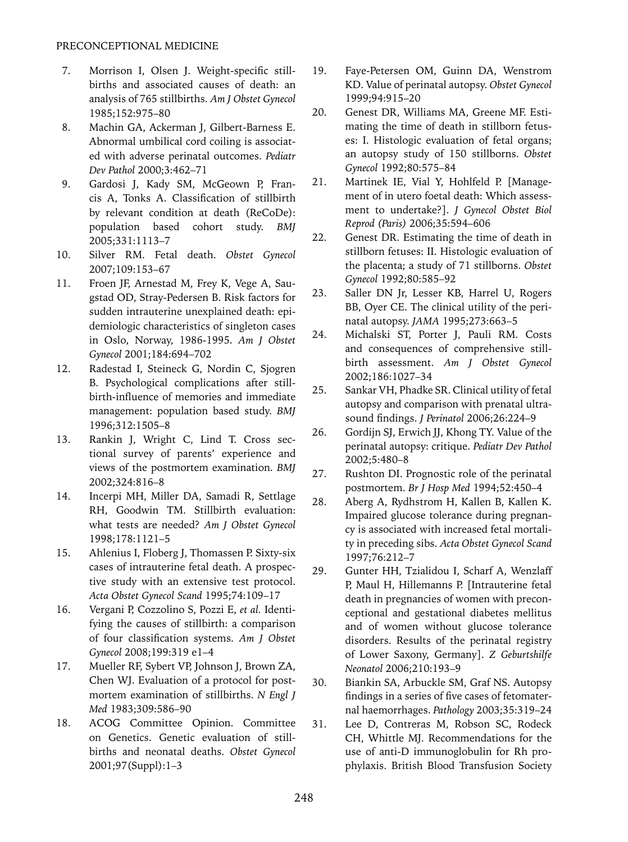- 7. Morrison I, Olsen J. Weight-specific stillbirths and associated causes of death: an analysis of 765 stillbirths. *Am J Obstet Gynecol* 1985;152:975–80
- 8. Machin GA, Ackerman J, Gilbert-Barness E. Abnormal umbilical cord coiling is associated with adverse perinatal outcomes. *Pediatr Dev Pathol* 2000;3:462–71
- 9. Gardosi J, Kady SM, McGeown P, Francis A, Tonks A. Classification of stillbirth by relevant condition at death (ReCoDe): population based cohort study. *BMJ* 2005;331:1113–7
- 10. Silver RM. Fetal death. *Obstet Gynecol*  2007;109:153–67
- 11. Froen JF, Arnestad M, Frey K, Vege A, Saugstad OD, Stray-Pedersen B. Risk factors for sudden intrauterine unexplained death: epidemiologic characteristics of singleton cases in Oslo, Norway, 1986-1995. *Am J Obstet Gynecol* 2001;184:694–702
- 12. Radestad I, Steineck G, Nordin C, Sjogren B. Psychological complications after stillbirth-influence of memories and immediate management: population based study. *BMJ* 1996;312:1505–8
- 13. Rankin J, Wright C, Lind T. Cross sectional survey of parents' experience and views of the postmortem examination. *BMJ* 2002;324:816–8
- 14. Incerpi MH, Miller DA, Samadi R, Settlage RH, Goodwin TM. Stillbirth evaluation: what tests are needed? *Am J Obstet Gynecol* 1998;178:1121–5
- 15. Ahlenius I, Floberg J, Thomassen P. Sixty-six cases of intrauterine fetal death. A prospective study with an extensive test protocol. *Acta Obstet Gynecol Scand* 1995;74:109–17
- 16. Vergani P, Cozzolino S, Pozzi E, *et al.* Identifying the causes of stillbirth: a comparison of four classification systems. *Am J Obstet Gynecol* 2008;199:319 e1–4
- 17. Mueller RF, Sybert VP, Johnson J, Brown ZA, Chen WJ. Evaluation of a protocol for postmortem examination of stillbirths. *N Engl J Med* 1983;309:586–90
- 18. ACOG Committee Opinion. Committee on Genetics. Genetic evaluation of stillbirths and neonatal deaths. *Obstet Gynecol*  2001;97(Suppl):1–3
- 19. Faye-Petersen OM, Guinn DA, Wenstrom KD. Value of perinatal autopsy. *Obstet Gynecol*  1999;94:915–20
- 20. Genest DR, Williams MA, Greene MF. Estimating the time of death in stillborn fetuses: I. Histologic evaluation of fetal organs; an autopsy study of 150 stillborns. *Obstet Gynecol* 1992;80:575–84
- 21. Martinek IE, Vial Y, Hohlfeld P. [Management of in utero foetal death: Which assessment to undertake?]. *J Gynecol Obstet Biol Reprod (Paris)* 2006;35:594–606
- 22. Genest DR. Estimating the time of death in stillborn fetuses: II. Histologic evaluation of the placenta; a study of 71 stillborns. *Obstet Gynecol* 1992;80:585–92
- 23. Saller DN Jr, Lesser KB, Harrel U, Rogers BB, Oyer CE. The clinical utility of the perinatal autopsy. *JAMA* 1995;273:663–5
- 24. Michalski ST, Porter J, Pauli RM. Costs and consequences of comprehensive stillbirth assessment. *Am J Obstet Gynecol*  2002;186:1027–34
- 25. Sankar VH, Phadke SR. Clinical utility of fetal autopsy and comparison with prenatal ultrasound findings. *J Perinatol* 2006;26:224–9
- 26. Gordijn SJ, Erwich JJ, Khong TY. Value of the perinatal autopsy: critique. *Pediatr Dev Pathol*  2002;5:480–8
- 27. Rushton DI. Prognostic role of the perinatal postmortem. *Br J Hosp Med* 1994;52:450–4
- 28. Aberg A, Rydhstrom H, Kallen B, Kallen K. Impaired glucose tolerance during pregnancy is associated with increased fetal mortality in preceding sibs. *Acta Obstet Gynecol Scand*  1997;76:212–7
- 29. Gunter HH, Tzialidou I, Scharf A, Wenzlaff P, Maul H, Hillemanns P. [Intrauterine fetal death in pregnancies of women with preconceptional and gestational diabetes mellitus and of women without glucose tolerance disorders. Results of the perinatal registry of Lower Saxony, Germany]. *Z Geburtshilfe Neonatol* 2006;210:193–9
- 30. Biankin SA, Arbuckle SM, Graf NS. Autopsy findings in a series of five cases of fetomaternal haemorrhages. *Pathology* 2003;35:319–24
- 31. Lee D, Contreras M, Robson SC, Rodeck CH, Whittle MJ. Recommendations for the use of anti-D immunoglobulin for Rh prophylaxis. British Blood Transfusion Society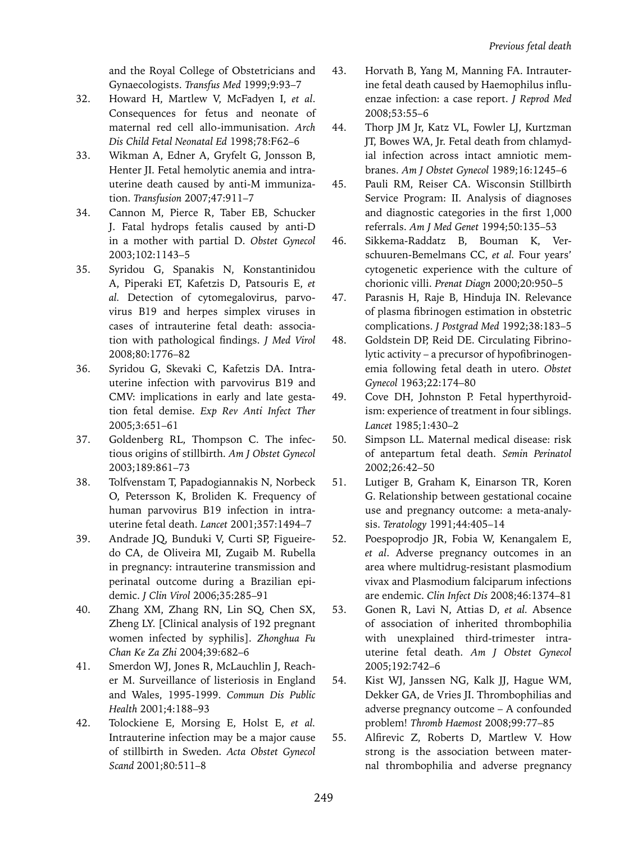and the Royal College of Obstetricians and Gynaecologists. *Transfus Med* 1999;9:93–7

- 32. Howard H, Martlew V, McFadyen I, *et al*. Consequences for fetus and neonate of maternal red cell allo-immunisation. *Arch Dis Child Fetal Neonatal Ed* 1998;78:F62–6
- 33. Wikman A, Edner A, Gryfelt G, Jonsson B, Henter JI. Fetal hemolytic anemia and intrauterine death caused by anti-M immunization. *Transfusion* 2007;47:911–7
- 34. Cannon M, Pierce R, Taber EB, Schucker J. Fatal hydrops fetalis caused by anti-D in a mother with partial D. *Obstet Gynecol*  2003;102:1143–5
- 35. Syridou G, Spanakis N, Konstantinidou A, Piperaki ET, Kafetzis D, Patsouris E, *et al.* Detection of cytomegalovirus, parvovirus B19 and herpes simplex viruses in cases of intrauterine fetal death: association with pathological findings. *J Med Virol*  2008;80:1776–82
- 36. Syridou G, Skevaki C, Kafetzis DA. Intrauterine infection with parvovirus B19 and CMV: implications in early and late gestation fetal demise. *Exp Rev Anti Infect Ther*  2005;3:651–61
- 37. Goldenberg RL, Thompson C. The infectious origins of stillbirth. *Am J Obstet Gynecol*  2003;189:861–73
- 38. Tolfvenstam T, Papadogiannakis N, Norbeck O, Petersson K, Broliden K. Frequency of human parvovirus B19 infection in intrauterine fetal death. *Lancet* 2001;357:1494–7
- 39. Andrade JQ, Bunduki V, Curti SP, Figueiredo CA, de Oliveira MI, Zugaib M. Rubella in pregnancy: intrauterine transmission and perinatal outcome during a Brazilian epidemic. *J Clin Virol* 2006;35:285–91
- 40. Zhang XM, Zhang RN, Lin SQ, Chen SX, Zheng LY. [Clinical analysis of 192 pregnant women infected by syphilis]. *Zhonghua Fu Chan Ke Za Zhi* 2004;39:682–6
- 41. Smerdon WJ, Jones R, McLauchlin J, Reacher M. Surveillance of listeriosis in England and Wales, 1995-1999. *Commun Dis Public Health* 2001;4:188–93
- 42. Tolockiene E, Morsing E, Holst E, *et al.* Intrauterine infection may be a major cause of stillbirth in Sweden. *Acta Obstet Gynecol Scand* 2001;80:511–8
- 43. Horvath B, Yang M, Manning FA. Intrauterine fetal death caused by Haemophilus influenzae infection: a case report. *J Reprod Med* 2008;53:55–6
- 44. Thorp JM Jr, Katz VL, Fowler LJ, Kurtzman JT, Bowes WA, Jr. Fetal death from chlamydial infection across intact amniotic membranes. *Am J Obstet Gynecol* 1989;16:1245–6
- 45. Pauli RM, Reiser CA. Wisconsin Stillbirth Service Program: II. Analysis of diagnoses and diagnostic categories in the first 1,000 referrals. *Am J Med Genet* 1994;50:135–53
- 46. Sikkema-Raddatz B, Bouman K, Verschuuren-Bemelmans CC, *et al.* Four years' cytogenetic experience with the culture of chorionic villi. *Prenat Diagn* 2000;20:950–5
- 47. Parasnis H, Raje B, Hinduja IN. Relevance of plasma fibrinogen estimation in obstetric complications. *J Postgrad Med* 1992;38:183–5
- 48. Goldstein DP, Reid DE. Circulating Fibrinolytic activity – a precursor of hypofibrinogenemia following fetal death in utero. *Obstet Gynecol* 1963;22:174–80
- 49. Cove DH, Johnston P. Fetal hyperthyroidism: experience of treatment in four siblings. *Lancet* 1985;1:430–2
- 50. Simpson LL. Maternal medical disease: risk of antepartum fetal death. *Semin Perinatol*  2002;26:42–50
- 51. Lutiger B, Graham K, Einarson TR, Koren G. Relationship between gestational cocaine use and pregnancy outcome: a meta-analysis. *Teratology* 1991;44:405–14
- 52. Poespoprodjo JR, Fobia W, Kenangalem E, *et al*. Adverse pregnancy outcomes in an area where multidrug-resistant plasmodium vivax and Plasmodium falciparum infections are endemic. *Clin Infect Dis* 2008;46:1374–81
- 53. Gonen R, Lavi N, Attias D, *et al.* Absence of association of inherited thrombophilia with unexplained third-trimester intrauterine fetal death. *Am J Obstet Gynecol*  2005;192:742–6
- 54. Kist WJ, Janssen NG, Kalk JJ, Hague WM, Dekker GA, de Vries JI. Thrombophilias and adverse pregnancy outcome – A confounded problem! *Thromb Haemost* 2008;99:77–85
- 55. Alfirevic Z, Roberts D, Martlew V. How strong is the association between maternal thrombophilia and adverse pregnancy